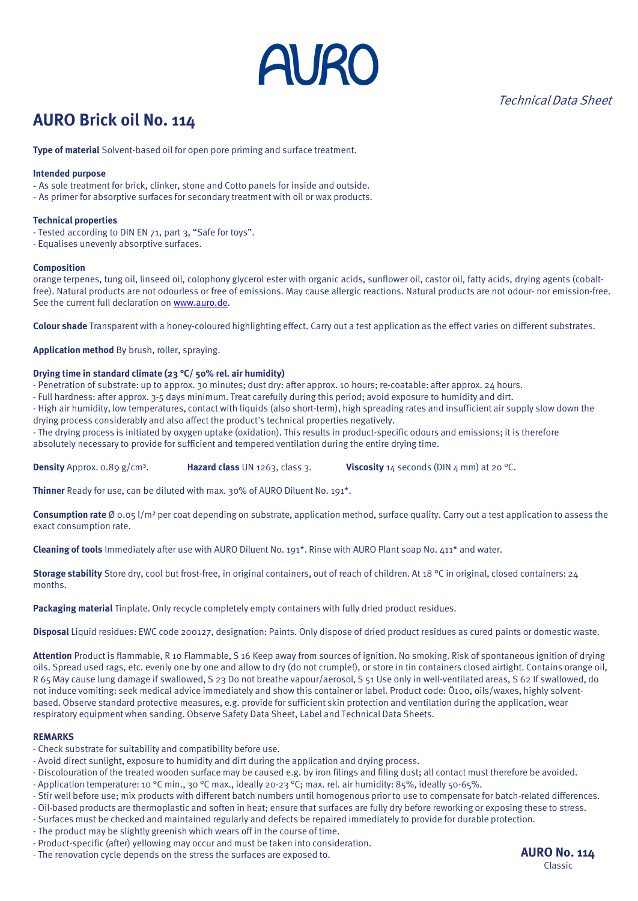

Technical Data Sheet

## **AURO Brick oil No. 114**

**Type of material** Solvent-based oil for open pore priming and surface treatment.

#### **Intended purpose**

- As sole treatment for brick, clinker, stone and Cotto panels for inside and outside.
- As primer for absorptive surfaces for secondary treatment with oil or wax products.

#### **Technical properties**

- Tested according to DIN EN 71, part 3, "Safe for toys".
- Equalises unevenly absorptive surfaces.

#### **Composition**

orange terpenes, tung oil, linseed oil, colophony glycerol ester with organic acids, sunflower oil, castor oil, fatty acids, drying agents (cobaltfree). Natural products are not odourless or free of emissions. May cause allergic reactions. Natural products are not odour- nor emission-free. See the current full declaration o[n www.auro.de.](http://www.auro.de/)

**Colour shade** Transparent with a honey-coloured highlighting effect. Carry out a test application as the effect varies on different substrates.

**Application method** By brush, roller, spraying.

## **Drying time in standard climate (23 °C/ 50% rel. air humidity)**

- Penetration of substrate: up to approx. 30 minutes; dust dry: after approx. 10 hours; re-coatable: after approx. 24 hours.
- Full hardness: after approx. 3-5 days minimum. Treat carefully during this period; avoid exposure to humidity and dirt.
- High air humidity, low temperatures, contact with liquids (also short-term), high spreading rates and insufficient air supply slow down the drying process considerably and also affect the product's technical properties negatively.
- The drying process is initiated by oxygen uptake (oxidation). This results in product-specific odours and emissions; it is therefore absolutely necessary to provide for sufficient and tempered ventilation during the entire drying time.

**Density** Approx. 0.89 g/cm<sup>3</sup>. **Hazard class** UN 1263, class 3. **Viscosity** 14 seconds (DIN 4 mm) at 20 °C.

**Thinner** Ready for use, can be diluted with max. 30% of AURO Diluent No. 191<sup>\*</sup>.

**Consumption rate** Ø 0.05 l/m² per coat depending on substrate, application method, surface quality. Carry out a test application to assess the exact consumption rate.

**Cleaning of tools** Immediately after use with AURO Diluent No. 191\*. Rinse with AURO Plant soap No. 411\* and water.

**Storage stability** Store dry, cool but frost-free, in original containers, out of reach of children. At 18 °C in original, closed containers: 24 months.

**Packaging material** Tinplate. Only recycle completely empty containers with fully dried product residues.

**Disposal** Liquid residues: EWC code 200127, designation: Paints. Only dispose of dried product residues as cured paints or domestic waste.

**Attention** Product is flammable, R 10 Flammable, S 16 Keep away from sources of ignition. No smoking. Risk of spontaneous ignition of drying oils. Spread used rags, etc. evenly one by one and allow to dry (do not crumple!), or store in tin containers closed airtight. Contains orange oil, R 65 May cause lung damage if swallowed, S 23 Do not breathe vapour/aerosol, S 51 Use only in well-ventilated areas, S 62 If swallowed, do not induce vomiting: seek medical advice immediately and show this container or label. Product code: Ö100, oils/waxes, highly solventbased. Observe standard protective measures, e.g. provide for sufficient skin protection and ventilation during the application, wear respiratory equipment when sanding. Observe Safety Data Sheet, Label and Technical Data Sheets.

#### **REMARKS**

- Check substrate for suitability and compatibility before use.
- Avoid direct sunlight, exposure to humidity and dirt during the application and drying process.
- Discolouration of the treated wooden surface may be caused e.g. by iron filings and filing dust; all contact must therefore be avoided.
- Application temperature: 10 °C min., 30 °C max., ideally 20-23 °C; max. rel. air humidity: 85%, ideally 50-65%.
- Stir well before use; mix products with different batch numbers until homogenous prior to use to compensate for batch-related differences.
- Oil-based products are thermoplastic and soften in heat; ensure that surfaces are fully dry before reworking or exposing these to stress.
- Surfaces must be checked and maintained regularly and defects be repaired immediately to provide for durable protection.
- The product may be slightly greenish which wears off in the course of time.
- Product-specific (after) yellowing may occur and must be taken into consideration.
- The renovation cycle depends on the stress the surfaces are exposed to. **AURO NO. 114**